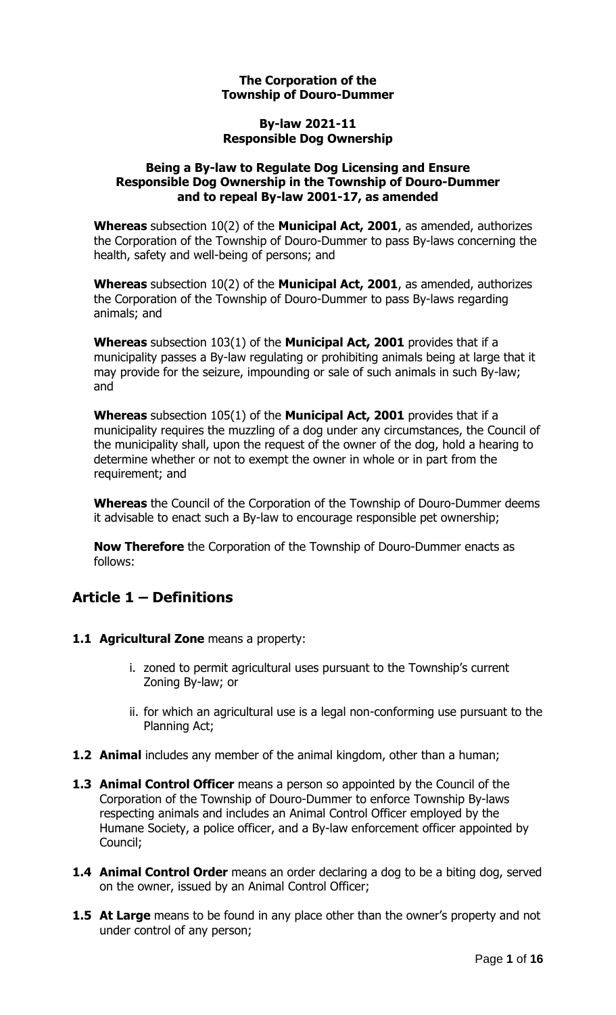#### **The Corporation of the Township of Douro-Dummer**

#### **By-law 2021-11 Responsible Dog Ownership**

#### **Being a By-law to Regulate Dog Licensing and Ensure Responsible Dog Ownership in the Township of Douro-Dummer and to repeal By-law 2001-17, as amended**

**Whereas** subsection 10(2) of the **Municipal Act, 2001**, as amended, authorizes the Corporation of the Township of Douro-Dummer to pass By-laws concerning the health, safety and well-being of persons; and

**Whereas** subsection 10(2) of the **Municipal Act, 2001**, as amended, authorizes the Corporation of the Township of Douro-Dummer to pass By-laws regarding animals; and

**Whereas** subsection 103(1) of the **Municipal Act, 2001** provides that if a municipality passes a By-law regulating or prohibiting animals being at large that it may provide for the seizure, impounding or sale of such animals in such By-law; and

**Whereas** subsection 105(1) of the **Municipal Act, 2001** provides that if a municipality requires the muzzling of a dog under any circumstances, the Council of the municipality shall, upon the request of the owner of the dog, hold a hearing to determine whether or not to exempt the owner in whole or in part from the requirement; and

**Whereas** the Council of the Corporation of the Township of Douro-Dummer deems it advisable to enact such a By-law to encourage responsible pet ownership;

**Now Therefore** the Corporation of the Township of Douro-Dummer enacts as follows:

# **Article 1 – Definitions**

- 1.1 **Agricultural Zone** means a property:
	- i. zoned to permit agricultural uses pursuant to the Township's current Zoning By-law; or
	- ii. for which an agricultural use is a legal non-conforming use pursuant to the Planning Act;
- **1.2 Animal** includes any member of the animal kingdom, other than a human;
- **1.3 Animal Control Officer** means a person so appointed by the Council of the Corporation of the Township of Douro-Dummer to enforce Township By-laws respecting animals and includes an Animal Control Officer employed by the Humane Society, a police officer, and a By-law enforcement officer appointed by Council;
- **1.4 Animal Control Order** means an order declaring a dog to be a biting dog, served on the owner, issued by an Animal Control Officer;
- **1.5 At Large** means to be found in any place other than the owner's property and not under control of any person;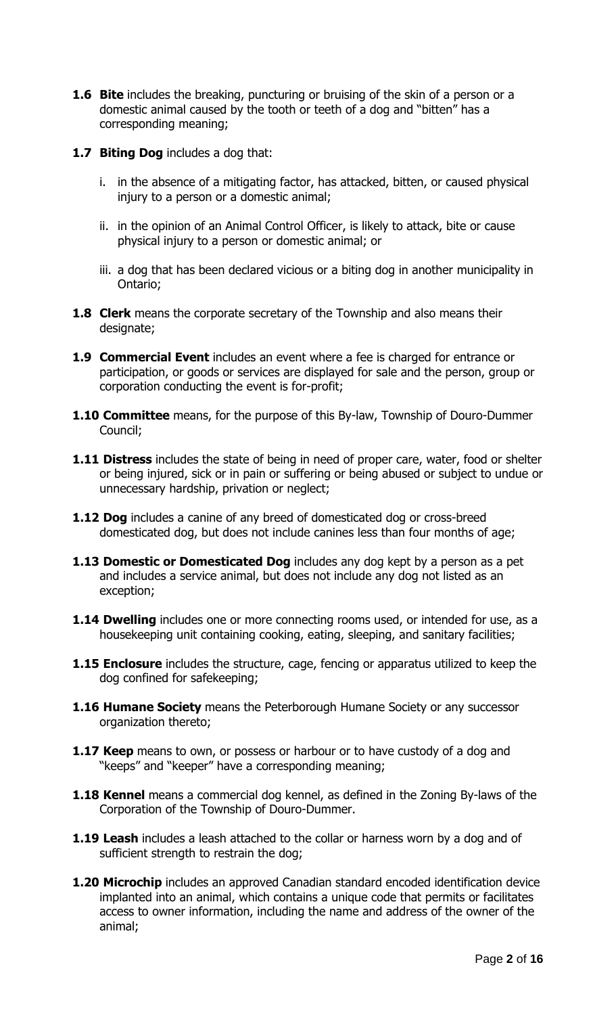- **1.6 Bite** includes the breaking, puncturing or bruising of the skin of a person or a domestic animal caused by the tooth or teeth of a dog and "bitten" has a corresponding meaning;
- **1.7 Biting Dog** includes a dog that:
	- i. in the absence of a mitigating factor, has attacked, bitten, or caused physical injury to a person or a domestic animal;
	- ii. in the opinion of an Animal Control Officer, is likely to attack, bite or cause physical injury to a person or domestic animal; or
	- iii. a dog that has been declared vicious or a biting dog in another municipality in Ontario;
- **1.8 Clerk** means the corporate secretary of the Township and also means their designate;
- **1.9 Commercial Event** includes an event where a fee is charged for entrance or participation, or goods or services are displayed for sale and the person, group or corporation conducting the event is for-profit;
- **1.10 Committee** means, for the purpose of this By-law, Township of Douro-Dummer Council;
- **1.11 Distress** includes the state of being in need of proper care, water, food or shelter or being injured, sick or in pain or suffering or being abused or subject to undue or unnecessary hardship, privation or neglect;
- **1.12 Dog** includes a canine of any breed of domesticated dog or cross-breed domesticated dog, but does not include canines less than four months of age;
- **1.13 Domestic or Domesticated Dog** includes any dog kept by a person as a pet and includes a service animal, but does not include any dog not listed as an exception;
- **1.14 Dwelling** includes one or more connecting rooms used, or intended for use, as a housekeeping unit containing cooking, eating, sleeping, and sanitary facilities;
- **1.15 Enclosure** includes the structure, cage, fencing or apparatus utilized to keep the dog confined for safekeeping;
- **1.16 Humane Society** means the Peterborough Humane Society or any successor organization thereto;
- **1.17 Keep** means to own, or possess or harbour or to have custody of a dog and "keeps" and "keeper" have a corresponding meaning;
- **1.18 Kennel** means a commercial dog kennel, as defined in the Zoning By-laws of the Corporation of the Township of Douro-Dummer.
- **1.19 Leash** includes a leash attached to the collar or harness worn by a dog and of sufficient strength to restrain the dog;
- **1.20 Microchip** includes an approved Canadian standard encoded identification device implanted into an animal, which contains a unique code that permits or facilitates access to owner information, including the name and address of the owner of the animal;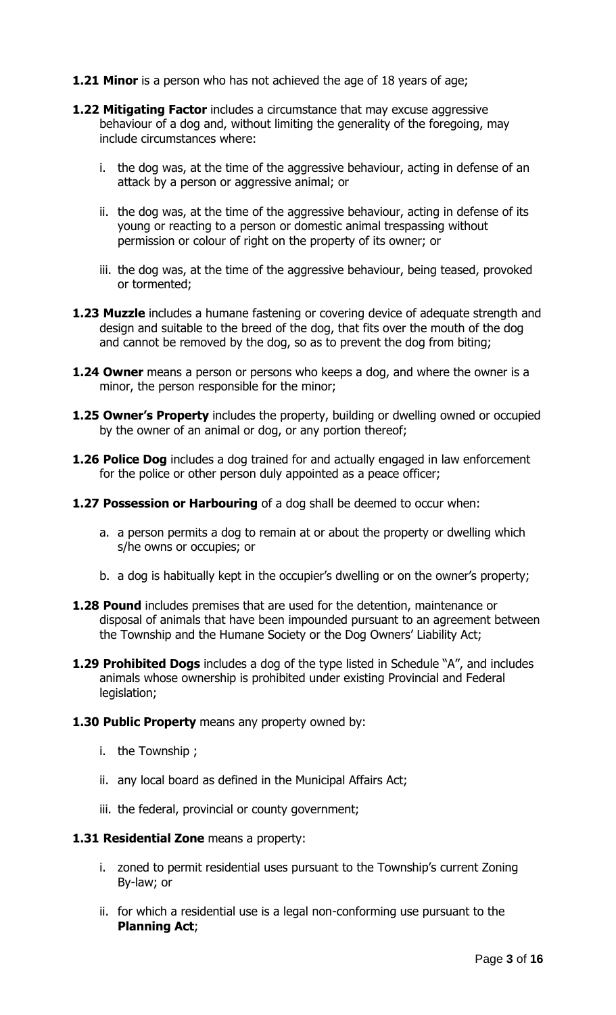- **1.21 Minor** is a person who has not achieved the age of 18 years of age;
- **1.22 Mitigating Factor** includes a circumstance that may excuse aggressive behaviour of a dog and, without limiting the generality of the foregoing, may include circumstances where:
	- i. the dog was, at the time of the aggressive behaviour, acting in defense of an attack by a person or aggressive animal; or
	- ii. the dog was, at the time of the aggressive behaviour, acting in defense of its young or reacting to a person or domestic animal trespassing without permission or colour of right on the property of its owner; or
	- iii. the dog was, at the time of the aggressive behaviour, being teased, provoked or tormented;
- **1.23 Muzzle** includes a humane fastening or covering device of adequate strength and design and suitable to the breed of the dog, that fits over the mouth of the dog and cannot be removed by the dog, so as to prevent the dog from biting;
- **1.24 Owner** means a person or persons who keeps a dog, and where the owner is a minor, the person responsible for the minor;
- **1.25 Owner's Property** includes the property, building or dwelling owned or occupied by the owner of an animal or dog, or any portion thereof;
- **1.26 Police Dog** includes a dog trained for and actually engaged in law enforcement for the police or other person duly appointed as a peace officer;
- **1.27 Possession or Harbouring** of a dog shall be deemed to occur when:
	- a. a person permits a dog to remain at or about the property or dwelling which s/he owns or occupies; or
	- b. a dog is habitually kept in the occupier's dwelling or on the owner's property;
- **1.28 Pound** includes premises that are used for the detention, maintenance or disposal of animals that have been impounded pursuant to an agreement between the Township and the Humane Society or the Dog Owners' Liability Act;
- **1.29 Prohibited Dogs** includes a dog of the type listed in Schedule "A", and includes animals whose ownership is prohibited under existing Provincial and Federal legislation;
- **1.30 Public Property** means any property owned by:
	- i. the Township ;
	- ii. any local board as defined in the Municipal Affairs Act;
	- iii. the federal, provincial or county government;

#### **1.31 Residential Zone** means a property:

- i. zoned to permit residential uses pursuant to the Township's current Zoning By-law; or
- ii. for which a residential use is a legal non-conforming use pursuant to the **Planning Act**;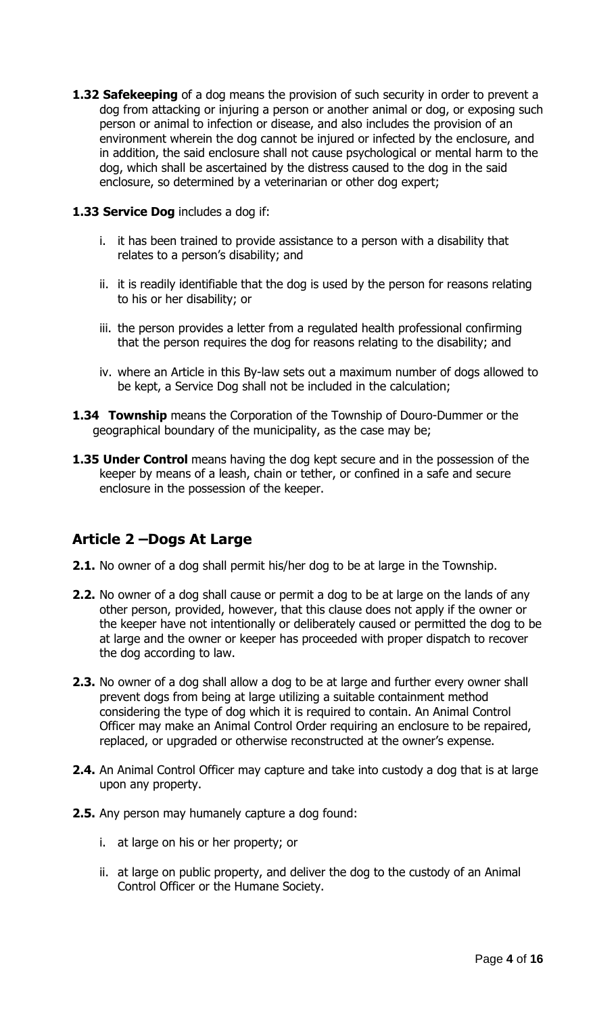**1.32 Safekeeping** of a dog means the provision of such security in order to prevent a dog from attacking or injuring a person or another animal or dog, or exposing such person or animal to infection or disease, and also includes the provision of an environment wherein the dog cannot be injured or infected by the enclosure, and in addition, the said enclosure shall not cause psychological or mental harm to the dog, which shall be ascertained by the distress caused to the dog in the said enclosure, so determined by a veterinarian or other dog expert;

#### **1.33 Service Dog** includes a dog if:

- i. it has been trained to provide assistance to a person with a disability that relates to a person's disability; and
- ii. it is readily identifiable that the dog is used by the person for reasons relating to his or her disability; or
- iii. the person provides a letter from a regulated health professional confirming that the person requires the dog for reasons relating to the disability; and
- iv. where an Article in this By-law sets out a maximum number of dogs allowed to be kept, a Service Dog shall not be included in the calculation;
- **1.34 Township** means the Corporation of the Township of Douro-Dummer or the geographical boundary of the municipality, as the case may be;
- **1.35 Under Control** means having the dog kept secure and in the possession of the keeper by means of a leash, chain or tether, or confined in a safe and secure enclosure in the possession of the keeper.

# **Article 2 –Dogs At Large**

- **2.1.** No owner of a dog shall permit his/her dog to be at large in the Township.
- **2.2.** No owner of a dog shall cause or permit a dog to be at large on the lands of any other person, provided, however, that this clause does not apply if the owner or the keeper have not intentionally or deliberately caused or permitted the dog to be at large and the owner or keeper has proceeded with proper dispatch to recover the dog according to law.
- **2.3.** No owner of a dog shall allow a dog to be at large and further every owner shall prevent dogs from being at large utilizing a suitable containment method considering the type of dog which it is required to contain. An Animal Control Officer may make an Animal Control Order requiring an enclosure to be repaired, replaced, or upgraded or otherwise reconstructed at the owner's expense.
- **2.4.** An Animal Control Officer may capture and take into custody a dog that is at large upon any property.
- **2.5.** Any person may humanely capture a dog found:
	- i. at large on his or her property; or
	- ii. at large on public property, and deliver the dog to the custody of an Animal Control Officer or the Humane Society.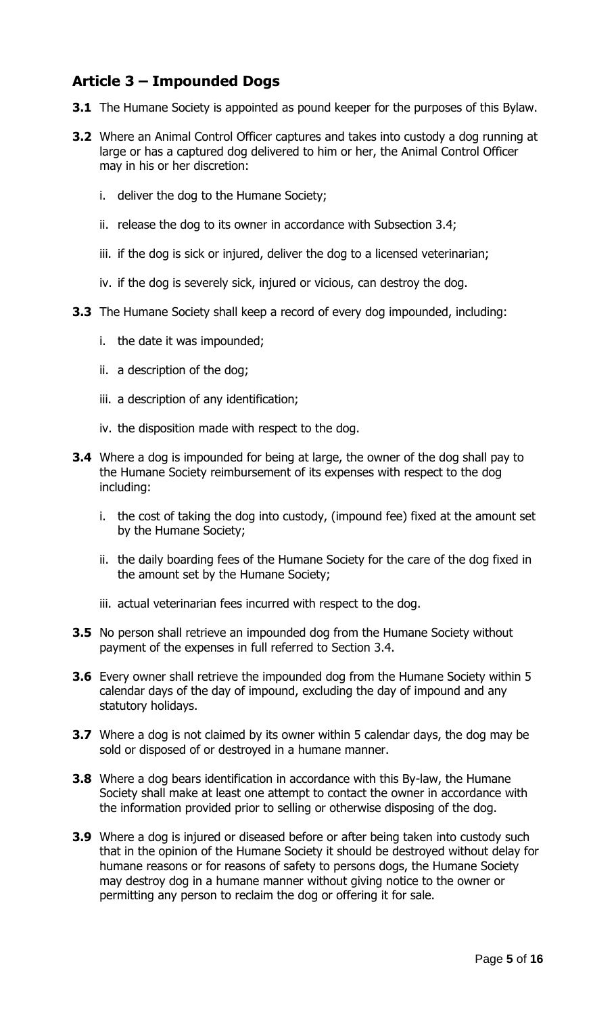# **Article 3 – Impounded Dogs**

- **3.1** The Humane Society is appointed as pound keeper for the purposes of this Bylaw.
- **3.2** Where an Animal Control Officer captures and takes into custody a dog running at large or has a captured dog delivered to him or her, the Animal Control Officer may in his or her discretion:
	- i. deliver the dog to the Humane Society;
	- ii. release the dog to its owner in accordance with Subsection 3.4;
	- iii. if the dog is sick or injured, deliver the dog to a licensed veterinarian;
	- iv. if the dog is severely sick, injured or vicious, can destroy the dog.
- **3.3** The Humane Society shall keep a record of every dog impounded, including:
	- i. the date it was impounded;
	- ii. a description of the dog;
	- iii. a description of any identification;
	- iv. the disposition made with respect to the dog.
- **3.4** Where a dog is impounded for being at large, the owner of the dog shall pay to the Humane Society reimbursement of its expenses with respect to the dog including:
	- i. the cost of taking the dog into custody, (impound fee) fixed at the amount set by the Humane Society;
	- ii. the daily boarding fees of the Humane Society for the care of the dog fixed in the amount set by the Humane Society;
	- iii. actual veterinarian fees incurred with respect to the dog.
- **3.5** No person shall retrieve an impounded dog from the Humane Society without payment of the expenses in full referred to Section 3.4.
- **3.6** Every owner shall retrieve the impounded dog from the Humane Society within 5 calendar days of the day of impound, excluding the day of impound and any statutory holidays.
- **3.7** Where a dog is not claimed by its owner within 5 calendar days, the dog may be sold or disposed of or destroyed in a humane manner.
- **3.8** Where a dog bears identification in accordance with this By-law, the Humane Society shall make at least one attempt to contact the owner in accordance with the information provided prior to selling or otherwise disposing of the dog.
- **3.9** Where a dog is injured or diseased before or after being taken into custody such that in the opinion of the Humane Society it should be destroyed without delay for humane reasons or for reasons of safety to persons dogs, the Humane Society may destroy dog in a humane manner without giving notice to the owner or permitting any person to reclaim the dog or offering it for sale.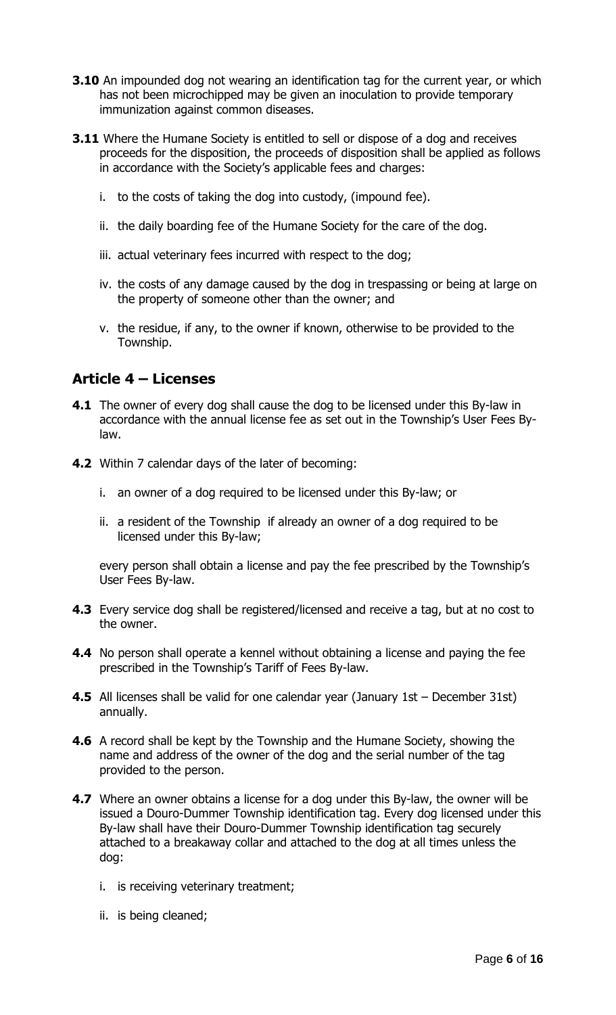- **3.10** An impounded dog not wearing an identification tag for the current year, or which has not been microchipped may be given an inoculation to provide temporary immunization against common diseases.
- **3.11** Where the Humane Society is entitled to sell or dispose of a dog and receives proceeds for the disposition, the proceeds of disposition shall be applied as follows in accordance with the Society's applicable fees and charges:
	- i. to the costs of taking the dog into custody, (impound fee).
	- ii. the daily boarding fee of the Humane Society for the care of the dog.
	- iii. actual veterinary fees incurred with respect to the dog;
	- iv. the costs of any damage caused by the dog in trespassing or being at large on the property of someone other than the owner; and
	- v. the residue, if any, to the owner if known, otherwise to be provided to the Township.

### **Article 4 – Licenses**

- **4.1** The owner of every dog shall cause the dog to be licensed under this By-law in accordance with the annual license fee as set out in the Township's User Fees Bylaw.
- **4.2** Within 7 calendar days of the later of becoming:
	- i. an owner of a dog required to be licensed under this By-law; or
	- ii. a resident of the Township if already an owner of a dog required to be licensed under this By-law;

every person shall obtain a license and pay the fee prescribed by the Township's User Fees By-law.

- **4.3** Every service dog shall be registered/licensed and receive a tag, but at no cost to the owner.
- **4.4** No person shall operate a kennel without obtaining a license and paying the fee prescribed in the Township's Tariff of Fees By-law.
- **4.5** All licenses shall be valid for one calendar year (January 1st December 31st) annually.
- **4.6** A record shall be kept by the Township and the Humane Society, showing the name and address of the owner of the dog and the serial number of the tag provided to the person.
- **4.7** Where an owner obtains a license for a dog under this By-law, the owner will be issued a Douro-Dummer Township identification tag. Every dog licensed under this By-law shall have their Douro-Dummer Township identification tag securely attached to a breakaway collar and attached to the dog at all times unless the dog:
	- i. is receiving veterinary treatment;
	- ii. is being cleaned;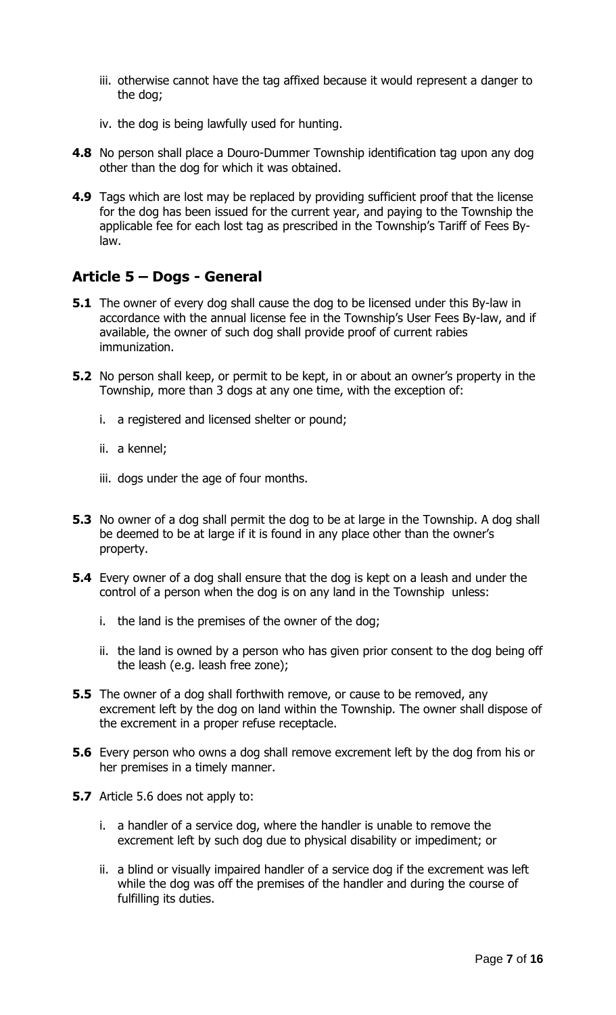- iii. otherwise cannot have the tag affixed because it would represent a danger to the dog;
- iv. the dog is being lawfully used for hunting.
- **4.8** No person shall place a Douro-Dummer Township identification tag upon any dog other than the dog for which it was obtained.
- **4.9** Tags which are lost may be replaced by providing sufficient proof that the license for the dog has been issued for the current year, and paying to the Township the applicable fee for each lost tag as prescribed in the Township's Tariff of Fees Bylaw.

## **Article 5 – Dogs - General**

- **5.1** The owner of every dog shall cause the dog to be licensed under this By-law in accordance with the annual license fee in the Township's User Fees By-law, and if available, the owner of such dog shall provide proof of current rabies immunization.
- **5.2** No person shall keep, or permit to be kept, in or about an owner's property in the Township, more than 3 dogs at any one time, with the exception of:
	- i. a registered and licensed shelter or pound;
	- ii. a kennel;
	- iii. dogs under the age of four months.
- **5.3** No owner of a dog shall permit the dog to be at large in the Township. A dog shall be deemed to be at large if it is found in any place other than the owner's property.
- **5.4** Every owner of a dog shall ensure that the dog is kept on a leash and under the control of a person when the dog is on any land in the Township unless:
	- i. the land is the premises of the owner of the dog;
	- ii. the land is owned by a person who has given prior consent to the dog being off the leash (e.g. leash free zone);
- **5.5** The owner of a dog shall forthwith remove, or cause to be removed, any excrement left by the dog on land within the Township. The owner shall dispose of the excrement in a proper refuse receptacle.
- **5.6** Every person who owns a dog shall remove excrement left by the dog from his or her premises in a timely manner.
- **5.7** Article 5.6 does not apply to:
	- i. a handler of a service dog, where the handler is unable to remove the excrement left by such dog due to physical disability or impediment; or
	- ii. a blind or visually impaired handler of a service dog if the excrement was left while the dog was off the premises of the handler and during the course of fulfilling its duties.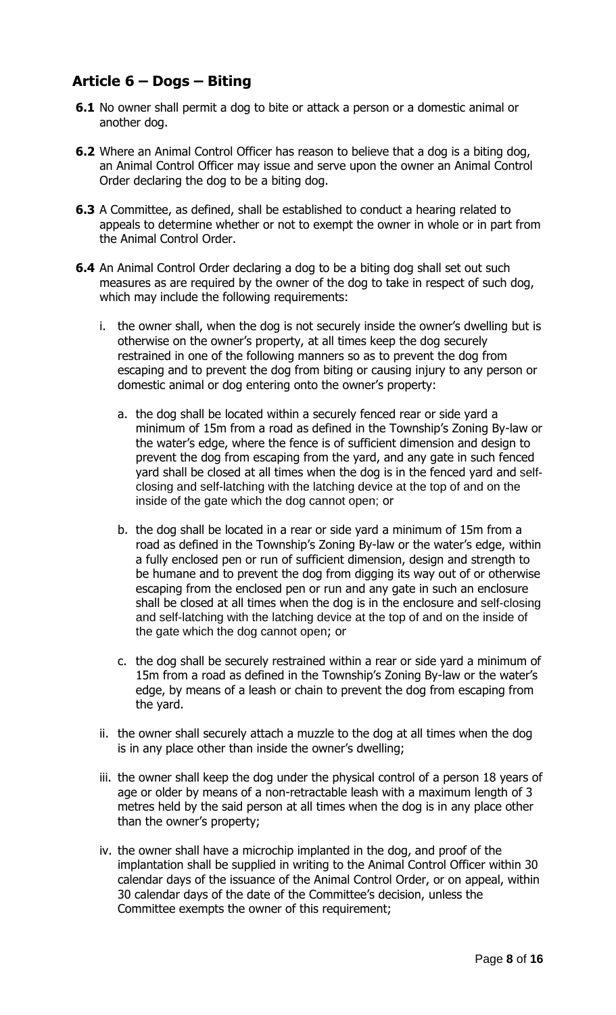# **Article 6 – Dogs – Biting**

- **6.1** No owner shall permit a dog to bite or attack a person or a domestic animal or another dog.
- **6.2** Where an Animal Control Officer has reason to believe that a dog is a biting dog, an Animal Control Officer may issue and serve upon the owner an Animal Control Order declaring the dog to be a biting dog.
- **6.3** A Committee, as defined, shall be established to conduct a hearing related to appeals to determine whether or not to exempt the owner in whole or in part from the Animal Control Order.
- **6.4** An Animal Control Order declaring a dog to be a biting dog shall set out such measures as are required by the owner of the dog to take in respect of such dog, which may include the following requirements:
	- i. the owner shall, when the dog is not securely inside the owner's dwelling but is otherwise on the owner's property, at all times keep the dog securely restrained in one of the following manners so as to prevent the dog from escaping and to prevent the dog from biting or causing injury to any person or domestic animal or dog entering onto the owner's property:
		- a. the dog shall be located within a securely fenced rear or side yard a minimum of 15m from a road as defined in the Township's Zoning By-law or the water's edge, where the fence is of sufficient dimension and design to prevent the dog from escaping from the yard, and any gate in such fenced yard shall be closed at all times when the dog is in the fenced yard and selfclosing and self-latching with the latching device at the top of and on the inside of the gate which the dog cannot open; or
		- b. the dog shall be located in a rear or side yard a minimum of 15m from a road as defined in the Township's Zoning By-law or the water's edge, within a fully enclosed pen or run of sufficient dimension, design and strength to be humane and to prevent the dog from digging its way out of or otherwise escaping from the enclosed pen or run and any gate in such an enclosure shall be closed at all times when the dog is in the enclosure and self-closing and self-latching with the latching device at the top of and on the inside of the gate which the dog cannot open; or
		- c. the dog shall be securely restrained within a rear or side yard a minimum of 15m from a road as defined in the Township's Zoning By-law or the water's edge, by means of a leash or chain to prevent the dog from escaping from the yard.
	- ii. the owner shall securely attach a muzzle to the dog at all times when the dog is in any place other than inside the owner's dwelling;
	- iii. the owner shall keep the dog under the physical control of a person 18 years of age or older by means of a non-retractable leash with a maximum length of 3 metres held by the said person at all times when the dog is in any place other than the owner's property;
	- iv. the owner shall have a microchip implanted in the dog, and proof of the implantation shall be supplied in writing to the Animal Control Officer within 30 calendar days of the issuance of the Animal Control Order, or on appeal, within 30 calendar days of the date of the Committee's decision, unless the Committee exempts the owner of this requirement;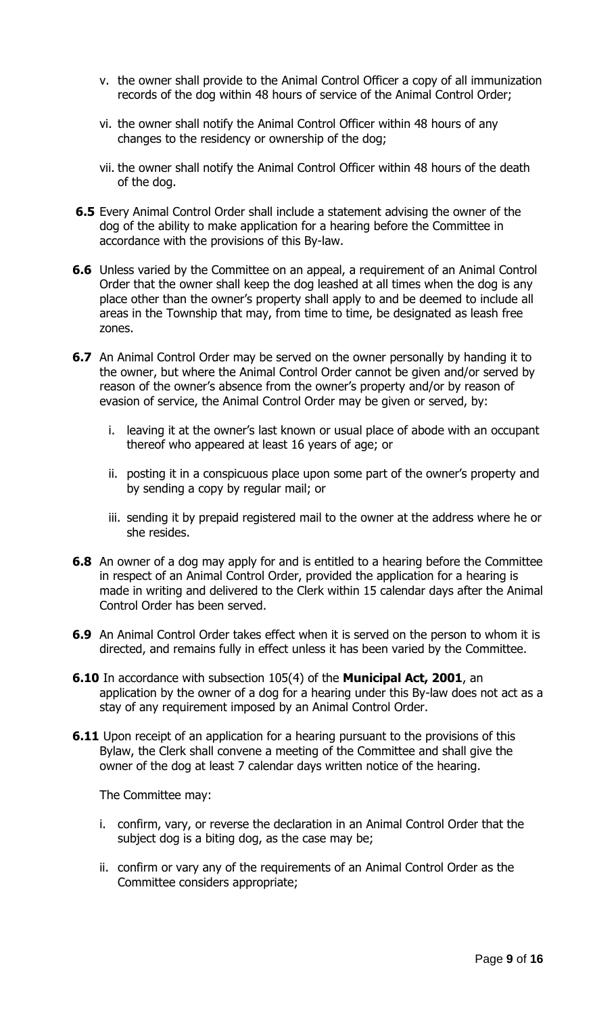- v. the owner shall provide to the Animal Control Officer a copy of all immunization records of the dog within 48 hours of service of the Animal Control Order;
- vi. the owner shall notify the Animal Control Officer within 48 hours of any changes to the residency or ownership of the dog;
- vii. the owner shall notify the Animal Control Officer within 48 hours of the death of the dog.
- **6.5** Every Animal Control Order shall include a statement advising the owner of the dog of the ability to make application for a hearing before the Committee in accordance with the provisions of this By-law.
- **6.6** Unless varied by the Committee on an appeal, a requirement of an Animal Control Order that the owner shall keep the dog leashed at all times when the dog is any place other than the owner's property shall apply to and be deemed to include all areas in the Township that may, from time to time, be designated as leash free zones.
- **6.7** An Animal Control Order may be served on the owner personally by handing it to the owner, but where the Animal Control Order cannot be given and/or served by reason of the owner's absence from the owner's property and/or by reason of evasion of service, the Animal Control Order may be given or served, by:
	- i. leaving it at the owner's last known or usual place of abode with an occupant thereof who appeared at least 16 years of age; or
	- ii. posting it in a conspicuous place upon some part of the owner's property and by sending a copy by regular mail; or
	- iii. sending it by prepaid registered mail to the owner at the address where he or she resides.
- **6.8** An owner of a dog may apply for and is entitled to a hearing before the Committee in respect of an Animal Control Order, provided the application for a hearing is made in writing and delivered to the Clerk within 15 calendar days after the Animal Control Order has been served.
- **6.9** An Animal Control Order takes effect when it is served on the person to whom it is directed, and remains fully in effect unless it has been varied by the Committee.
- **6.10** In accordance with subsection 105(4) of the **Municipal Act, 2001**, an application by the owner of a dog for a hearing under this By-law does not act as a stay of any requirement imposed by an Animal Control Order.
- **6.11** Upon receipt of an application for a hearing pursuant to the provisions of this Bylaw, the Clerk shall convene a meeting of the Committee and shall give the owner of the dog at least 7 calendar days written notice of the hearing.

The Committee may:

- i. confirm, vary, or reverse the declaration in an Animal Control Order that the subject dog is a biting dog, as the case may be;
- ii. confirm or vary any of the requirements of an Animal Control Order as the Committee considers appropriate;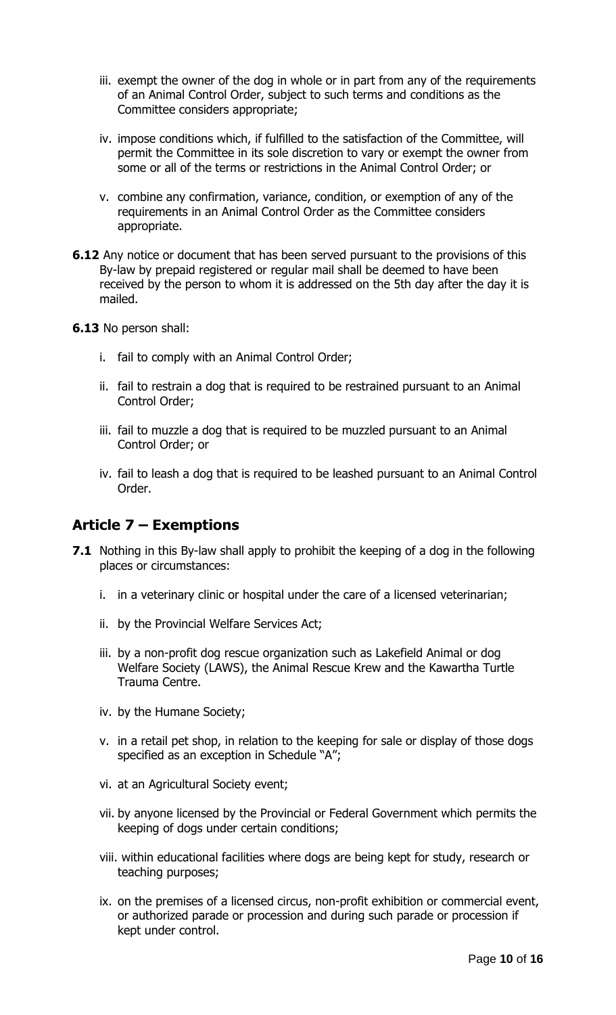- iii. exempt the owner of the dog in whole or in part from any of the requirements of an Animal Control Order, subject to such terms and conditions as the Committee considers appropriate;
- iv. impose conditions which, if fulfilled to the satisfaction of the Committee, will permit the Committee in its sole discretion to vary or exempt the owner from some or all of the terms or restrictions in the Animal Control Order; or
- v. combine any confirmation, variance, condition, or exemption of any of the requirements in an Animal Control Order as the Committee considers appropriate.
- **6.12** Any notice or document that has been served pursuant to the provisions of this By-law by prepaid registered or regular mail shall be deemed to have been received by the person to whom it is addressed on the 5th day after the day it is mailed.
- **6.13** No person shall:
	- i. fail to comply with an Animal Control Order;
	- ii. fail to restrain a dog that is required to be restrained pursuant to an Animal Control Order;
	- iii. fail to muzzle a dog that is required to be muzzled pursuant to an Animal Control Order; or
	- iv. fail to leash a dog that is required to be leashed pursuant to an Animal Control Order.

## **Article 7 – Exemptions**

- **7.1** Nothing in this By-law shall apply to prohibit the keeping of a dog in the following places or circumstances:
	- i. in a veterinary clinic or hospital under the care of a licensed veterinarian;
	- ii. by the Provincial Welfare Services Act;
	- iii. by a non-profit dog rescue organization such as Lakefield Animal or dog Welfare Society (LAWS), the Animal Rescue Krew and the Kawartha Turtle Trauma Centre.
	- iv. by the Humane Society;
	- v. in a retail pet shop, in relation to the keeping for sale or display of those dogs specified as an exception in Schedule "A";
	- vi. at an Agricultural Society event;
	- vii. by anyone licensed by the Provincial or Federal Government which permits the keeping of dogs under certain conditions;
	- viii. within educational facilities where dogs are being kept for study, research or teaching purposes;
	- ix. on the premises of a licensed circus, non-profit exhibition or commercial event, or authorized parade or procession and during such parade or procession if kept under control.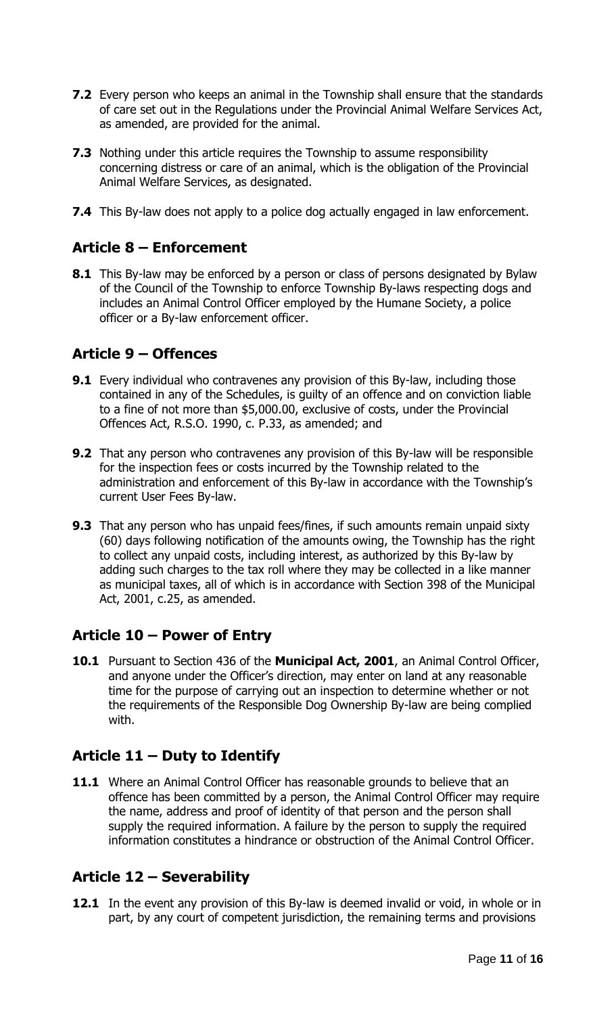- **7.2** Every person who keeps an animal in the Township shall ensure that the standards of care set out in the Regulations under the Provincial Animal Welfare Services Act, as amended, are provided for the animal.
- **7.3** Nothing under this article requires the Township to assume responsibility concerning distress or care of an animal, which is the obligation of the Provincial Animal Welfare Services, as designated.
- **7.4** This By-law does not apply to a police dog actually engaged in law enforcement.

# **Article 8 – Enforcement**

**8.1** This By-law may be enforced by a person or class of persons designated by Bylaw of the Council of the Township to enforce Township By-laws respecting dogs and includes an Animal Control Officer employed by the Humane Society, a police officer or a By-law enforcement officer.

# **Article 9 – Offences**

- **9.1** Every individual who contravenes any provision of this By-law, including those contained in any of the Schedules, is guilty of an offence and on conviction liable to a fine of not more than \$5,000.00, exclusive of costs, under the Provincial Offences Act, R.S.O. 1990, c. P.33, as amended; and
- **9.2** That any person who contravenes any provision of this By-law will be responsible for the inspection fees or costs incurred by the Township related to the administration and enforcement of this By-law in accordance with the Township's current User Fees By-law.
- **9.3** That any person who has unpaid fees/fines, if such amounts remain unpaid sixty (60) days following notification of the amounts owing, the Township has the right to collect any unpaid costs, including interest, as authorized by this By-law by adding such charges to the tax roll where they may be collected in a like manner as municipal taxes, all of which is in accordance with Section 398 of the Municipal Act, 2001, c.25, as amended.

# **Article 10 – Power of Entry**

**10.1** Pursuant to Section 436 of the **Municipal Act, 2001**, an Animal Control Officer, and anyone under the Officer's direction, may enter on land at any reasonable time for the purpose of carrying out an inspection to determine whether or not the requirements of the Responsible Dog Ownership By-law are being complied with.

# **Article 11 – Duty to Identify**

**11.1** Where an Animal Control Officer has reasonable grounds to believe that an offence has been committed by a person, the Animal Control Officer may require the name, address and proof of identity of that person and the person shall supply the required information. A failure by the person to supply the required information constitutes a hindrance or obstruction of the Animal Control Officer.

# **Article 12 – Severability**

**12.1** In the event any provision of this By-law is deemed invalid or void, in whole or in part, by any court of competent jurisdiction, the remaining terms and provisions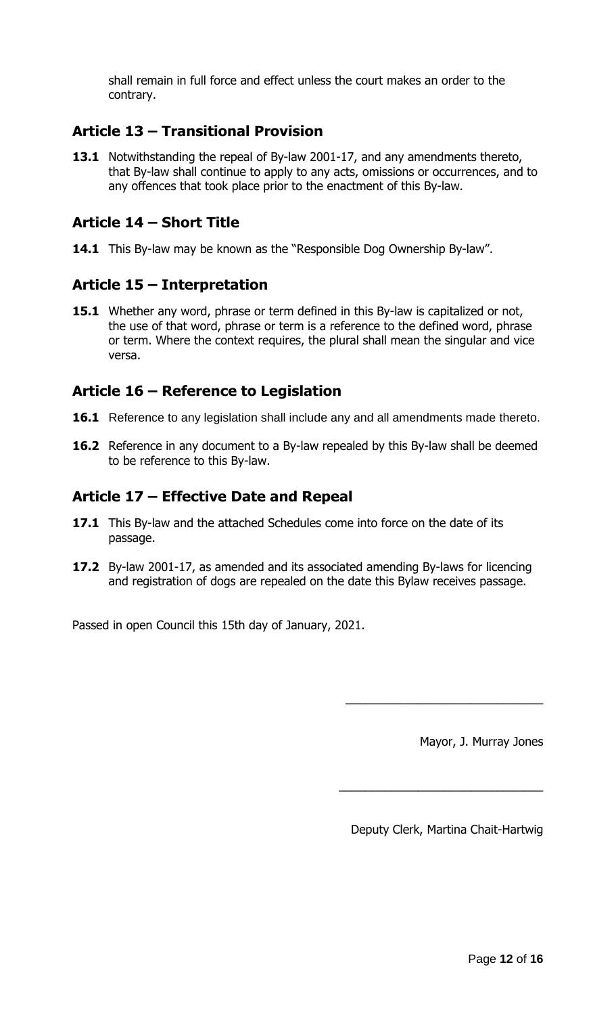shall remain in full force and effect unless the court makes an order to the contrary.

## **Article 13 – Transitional Provision**

**13.1** Notwithstanding the repeal of By-law 2001-17, and any amendments thereto, that By-law shall continue to apply to any acts, omissions or occurrences, and to any offences that took place prior to the enactment of this By-law.

## **Article 14 – Short Title**

**14.1** This By-law may be known as the "Responsible Dog Ownership By-law".

## **Article 15 – Interpretation**

**15.1** Whether any word, phrase or term defined in this By-law is capitalized or not, the use of that word, phrase or term is a reference to the defined word, phrase or term. Where the context requires, the plural shall mean the singular and vice versa.

## **Article 16 – Reference to Legislation**

- **16.1** Reference to any legislation shall include any and all amendments made thereto.
- **16.2** Reference in any document to a By-law repealed by this By-law shall be deemed to be reference to this By-law.

## **Article 17 – Effective Date and Repeal**

- **17.1** This By-law and the attached Schedules come into force on the date of its passage.
- **17.2** By-law 2001-17, as amended and its associated amending By-laws for licencing and registration of dogs are repealed on the date this Bylaw receives passage.

Passed in open Council this 15th day of January, 2021.

Mayor, J. Murray Jones

Deputy Clerk, Martina Chait-Hartwig

\_\_\_\_\_\_\_\_\_\_\_\_\_\_\_\_\_\_\_\_\_\_\_\_\_\_\_\_\_\_\_

\_\_\_\_\_\_\_\_\_\_\_\_\_\_\_\_\_\_\_\_\_\_\_\_\_\_\_\_\_\_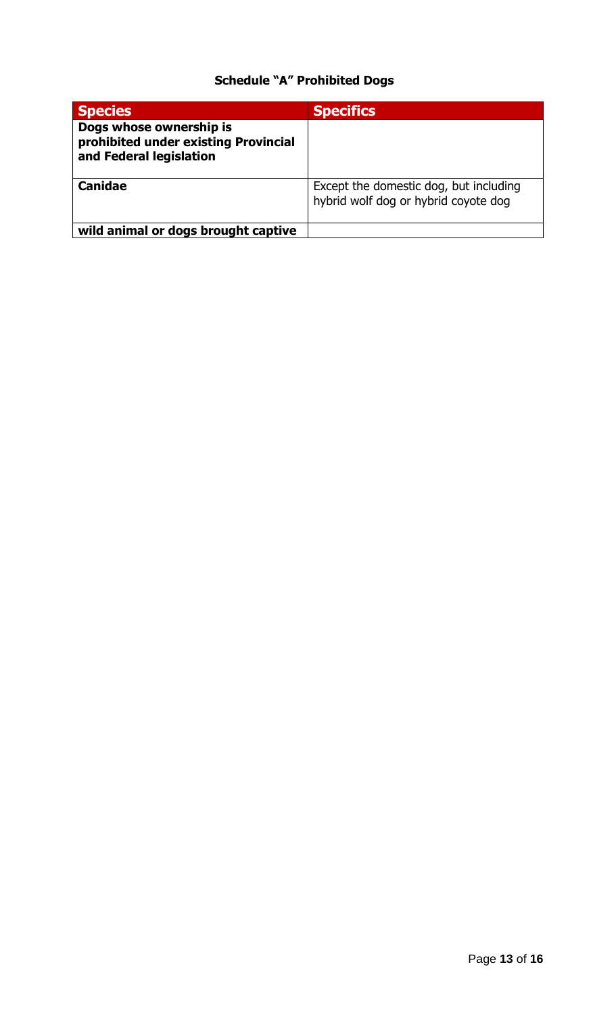# **Schedule "A" Prohibited Dogs**

| <b>Species</b>                                                                             | <b>Specifics</b>                                                               |
|--------------------------------------------------------------------------------------------|--------------------------------------------------------------------------------|
| Dogs whose ownership is<br>prohibited under existing Provincial<br>and Federal legislation |                                                                                |
| <b>Canidae</b>                                                                             | Except the domestic dog, but including<br>hybrid wolf dog or hybrid coyote dog |
| wild animal or dogs brought captive                                                        |                                                                                |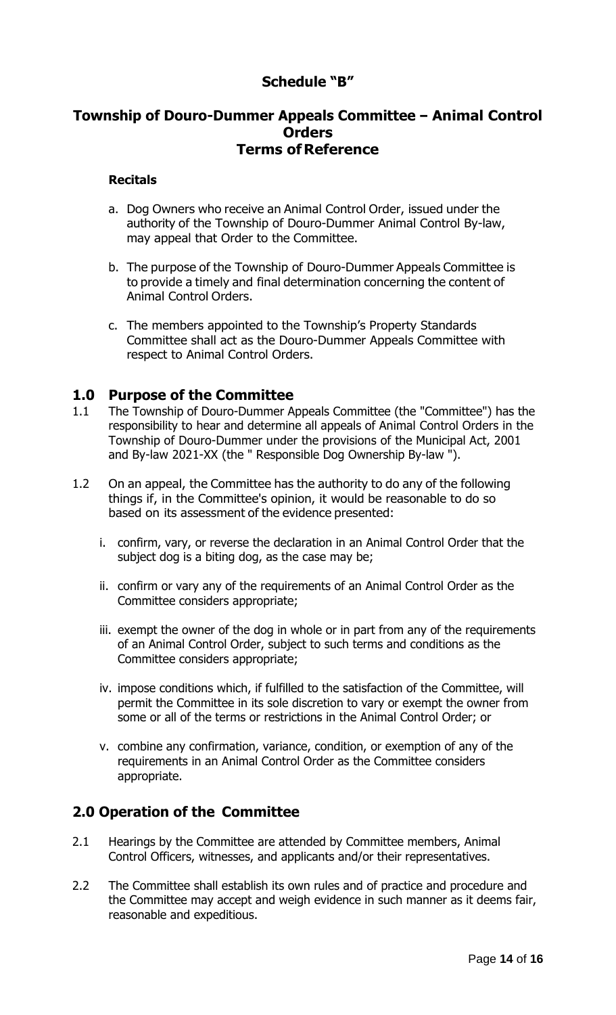## **Schedule "B"**

### **Township of Douro-Dummer Appeals Committee - Animal Control Orders Terms of Reference**

#### **Recitals**

- a. Dog Owners who receive an Animal Control Order, issued under the authority of the Township of Douro-Dummer Animal Control By-law, may appeal that Order to the Committee.
- b. The purpose of the Township of Douro-Dummer Appeals Committee is to provide a timely and final determination concerning the content of Animal Control Orders.
- c. The members appointed to the Township's Property Standards Committee shall act as the Douro-Dummer Appeals Committee with respect to Animal Control Orders.

### **1.0 Purpose of the Committee**

- 1.1 The Township of Douro-Dummer Appeals Committee (the "Committee") has the responsibility to hear and determine all appeals of Animal Control Orders in the Township of Douro-Dummer under the provisions of the Municipal Act, 2001 and By-law 2021-XX (the " Responsible Dog Ownership By-law ").
- 1.2 On an appeal, the Committee has the authority to do any of the following things if, in the Committee's opinion, it would be reasonable to do so based on its assessment of the evidence presented:
	- i. confirm, vary, or reverse the declaration in an Animal Control Order that the subject dog is a biting dog, as the case may be;
	- ii. confirm or vary any of the requirements of an Animal Control Order as the Committee considers appropriate;
	- iii. exempt the owner of the dog in whole or in part from any of the requirements of an Animal Control Order, subject to such terms and conditions as the Committee considers appropriate;
	- iv. impose conditions which, if fulfilled to the satisfaction of the Committee, will permit the Committee in its sole discretion to vary or exempt the owner from some or all of the terms or restrictions in the Animal Control Order; or
	- v. combine any confirmation, variance, condition, or exemption of any of the requirements in an Animal Control Order as the Committee considers appropriate.

## **2.0 Operation of the Committee**

- 2.1 Hearings by the Committee are attended by Committee members, Animal Control Officers, witnesses, and applicants and/or their representatives.
- 2.2 The Committee shall establish its own rules and of practice and procedure and the Committee may accept and weigh evidence in such manner as it deems fair, reasonable and expeditious.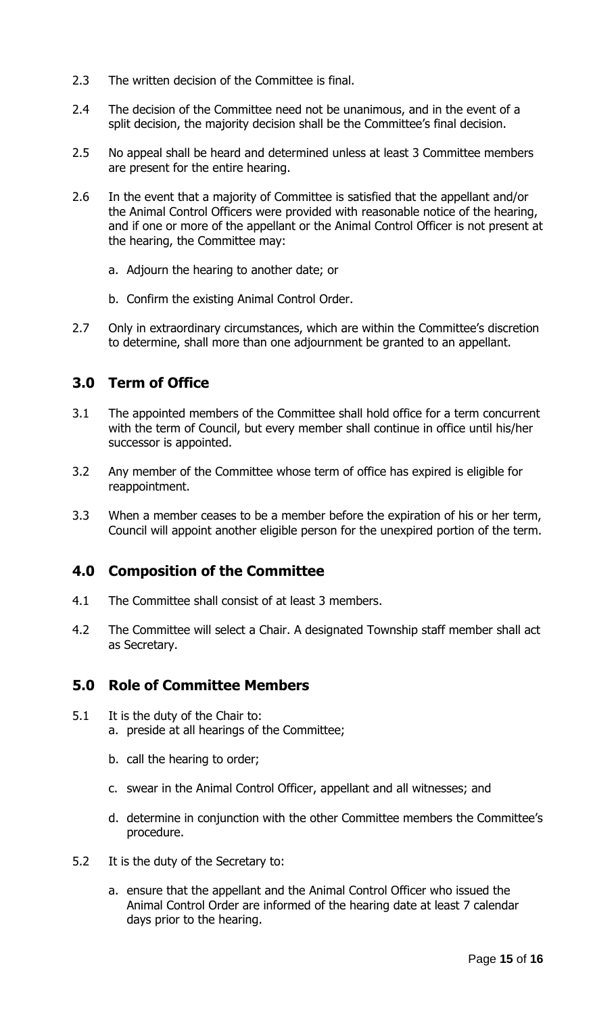- 2.3 The written decision of the Committee is final.
- 2.4 The decision of the Committee need not be unanimous, and in the event of a split decision, the majority decision shall be the Committee's final decision.
- 2.5 No appeal shall be heard and determined unless at least 3 Committee members are present for the entire hearing.
- 2.6 In the event that a majority of Committee is satisfied that the appellant and/or the Animal Control Officers were provided with reasonable notice of the hearing, and if one or more of the appellant or the Animal Control Officer is not present at the hearing, the Committee may:
	- a. Adjourn the hearing to another date; or
	- b. Confirm the existing Animal Control Order.
- 2.7 Only in extraordinary circumstances, which are within the Committee's discretion to determine, shall more than one adjournment be granted to an appellant.

## **3.0 Term of Office**

- 3.1 The appointed members of the Committee shall hold office for a term concurrent with the term of Council, but every member shall continue in office until his/her successor is appointed.
- 3.2 Any member of the Committee whose term of office has expired is eligible for reappointment.
- 3.3 When a member ceases to be a member before the expiration of his or her term, Council will appoint another eligible person for the unexpired portion of the term.

## **4.0 Composition of the Committee**

- 4.1 The Committee shall consist of at least 3 members.
- 4.2 The Committee will select a Chair. A designated Township staff member shall act as Secretary.

## **5.0 Role of Committee Members**

- 5.1 It is the duty of the Chair to: a. preside at all hearings of the Committee;
	- b. call the hearing to order;
	- c. swear in the Animal Control Officer, appellant and all witnesses; and
	- d. determine in conjunction with the other Committee members the Committee's procedure.
- 5.2 It is the duty of the Secretary to:
	- a. ensure that the appellant and the Animal Control Officer who issued the Animal Control Order are informed of the hearing date at least 7 calendar days prior to the hearing.